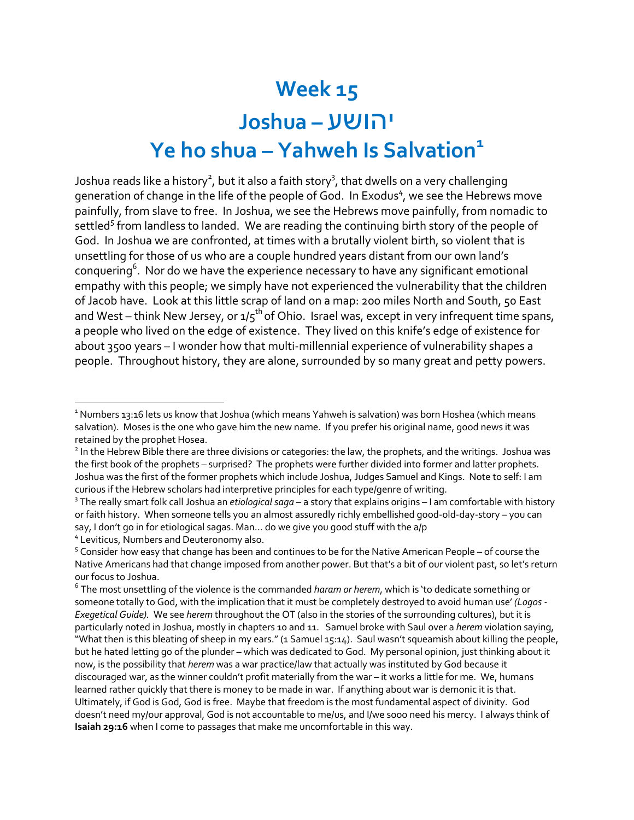## **Week 15** עשוהי **– Joshua Ye ho shua – Yahweh Is Salvation**<sup>1</sup>

Joshua reads like a history $^2$ , but it also a faith story $^3$ , that dwells on a very challenging generation of change in the life of the people of God. In Exodus<sup>4</sup>, we see the Hebrews move painfully, from slave to free. In Joshua, we see the Hebrews move painfully, from nomadic to settled<sup>5</sup> from landless to landed. We are reading the continuing birth story of the people of God. In Joshua we are confronted, at times with a brutally violent birth, so violent that is unsettling for those of us who are a couple hundred years distant from our own land's conquering<sup>6</sup>. Nor do we have the experience necessary to have any significant emotional empathy with this people; we simply have not experienced the vulnerability that the children of Jacob have. Look at this little scrap of land on a map: 200 miles North and South, 50 East and West – think New Jersey, or  $1/5^{th}$  of Ohio. Israel was, except in very infrequent time spans, a people who lived on the edge of existence. They lived on this knife's edge of existence for about 3500 years – I wonder how that multi-millennial experience of vulnerability shapes a people. Throughout history, they are alone, surrounded by so many great and petty powers.

<sup>&</sup>lt;sup>1</sup> Numbers 13:16 lets us know that Joshua (which means Yahweh is salvation) was born Hoshea (which means salvation). Moses is the one who gave him the new name. If you prefer his original name, good news it was retained by the prophet Hosea.

<sup>&</sup>lt;sup>2</sup> In the Hebrew Bible there are three divisions or categories: the law, the prophets, and the writings. Joshua was the first book of the prophets – surprised? The prophets were further divided into former and latter prophets. Joshua was the first of the former prophets which include Joshua, Judges Samuel and Kings. Note to self: I am curious if the Hebrew scholars had interpretive principles for each type/genre of writing.

<sup>3</sup> The really smart folk call Joshua an *etiological saga* – a story that explains origins – I am comfortable with history or faith history. When someone tells you an almost assuredly richly embellished good-old-day-story – you can say, I don't go in for etiological sagas. Man… do we give you good stuff with the a/p

<sup>4</sup> Leviticus, Numbers and Deuteronomy also.

<sup>5</sup> Consider how easy that change has been and continues to be for the Native American People – of course the Native Americans had that change imposed from another power. But that's a bit of our violent past, so let's return our focus to Joshua.

<sup>6</sup> The most unsettling of the violence is the commanded *haram or herem*, which is 'to dedicate something or someone totally to God, with the implication that it must be completely destroyed to avoid human use' *(Logos-Exegetical Guide).* We see *herem* throughout the OT (also in the stories of the surrounding cultures), but it is particularly noted in Joshua, mostly in chapters 10 and 11. Samuel broke with Saul over a *herem* violation saying, "What then is this bleating of sheep in my ears." (1 Samuel 15:14). Saul wasn't squeamish about killing the people, but he hated letting go of the plunder – which was dedicated to God. My personal opinion, just thinking about it now, is the possibility that *herem* was a war practice/law that actually was instituted by God because it discouraged war, as the winner couldn't profit materially from the war – it works a little for me. We, humans learned rather quickly that there is money to be made in war. If anything about war is demonic it is that. Ultimately, if God is God, God is free. Maybe that freedom is the most fundamental aspect of divinity. God doesn't need my/our approval, God is not accountable to me/us, and I/we sooo need his mercy. I always think of **Isaiah 29:16** when I come to passages that make me uncomfortable in this way.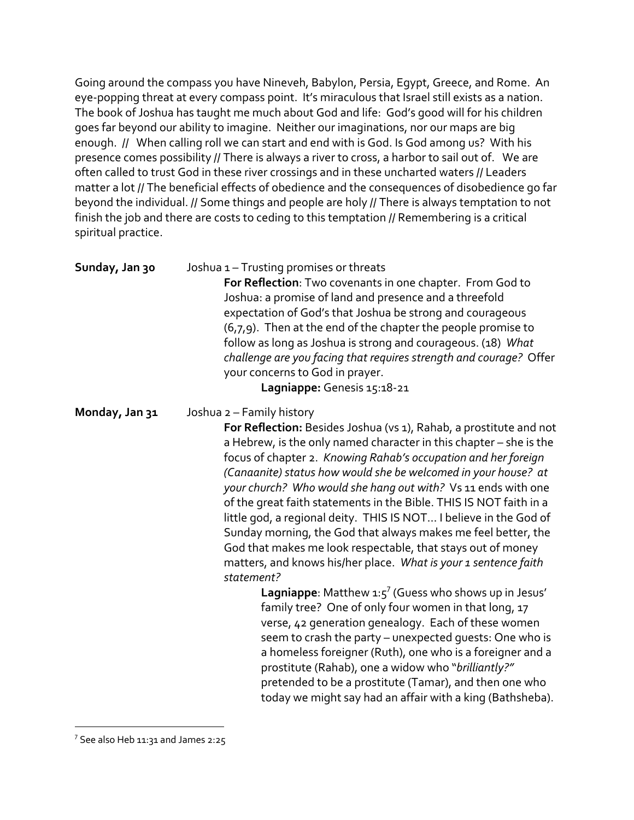Going around the compass you have Nineveh, Babylon, Persia, Egypt, Greece, and Rome. An eye-popping threat at every compass point. It's miraculous that Israel still exists as a nation. The book of Joshua has taught me much about God and life: God's good will for his children goes far beyond our ability to imagine. Neither our imaginations, nor our maps are big enough. *//* When calling roll we can start and end with is God. Is God among us? With his presence comes possibility // There is always a river to cross, a harbor to sail out of. We are often called to trust God in these river crossings and in these uncharted waters // Leaders matter a lot // The beneficial effects of obedience and the consequences of disobedience go far beyond the individual. // Some things and people are holy // There is always temptation to not finish the job and there are costs to ceding to this temptation // Remembering is a critical spiritual practice.

| Sunday, Jan 30 | Joshua 1 - Trusting promises or threats<br>For Reflection: Two covenants in one chapter. From God to<br>Joshua: a promise of land and presence and a threefold<br>expectation of God's that Joshua be strong and courageous<br>(6,7,9). Then at the end of the chapter the people promise to<br>follow as long as Joshua is strong and courageous. (18) What<br>challenge are you facing that requires strength and courage? Offer<br>your concerns to God in prayer.<br>Lagniappe: Genesis 15:18-21                                                                                                                                                                                                                                                                                                                                                                                                                                                                                                                                                                                                                                                                                                                          |
|----------------|-------------------------------------------------------------------------------------------------------------------------------------------------------------------------------------------------------------------------------------------------------------------------------------------------------------------------------------------------------------------------------------------------------------------------------------------------------------------------------------------------------------------------------------------------------------------------------------------------------------------------------------------------------------------------------------------------------------------------------------------------------------------------------------------------------------------------------------------------------------------------------------------------------------------------------------------------------------------------------------------------------------------------------------------------------------------------------------------------------------------------------------------------------------------------------------------------------------------------------|
| Monday, Jan 31 | Joshua 2 - Family history<br>For Reflection: Besides Joshua (vs 1), Rahab, a prostitute and not<br>a Hebrew, is the only named character in this chapter - she is the<br>focus of chapter 2. Knowing Rahab's occupation and her foreign<br>(Canaanite) status how would she be welcomed in your house? at<br>your church? Who would she hang out with? Vs 11 ends with one<br>of the great faith statements in the Bible. THIS IS NOT faith in a<br>little god, a regional deity. THIS IS NOT I believe in the God of<br>Sunday morning, the God that always makes me feel better, the<br>God that makes me look respectable, that stays out of money<br>matters, and knows his/her place. What is your 1 sentence faith<br>statement?<br><b>Lagniappe:</b> Matthew $1:5^7$ (Guess who shows up in Jesus'<br>family tree? One of only four women in that long, 17<br>verse, 42 generation genealogy. Each of these women<br>seem to crash the party - unexpected guests: One who is<br>a homeless foreigner (Ruth), one who is a foreigner and a<br>prostitute (Rahab), one a widow who "brilliantly?"<br>pretended to be a prostitute (Tamar), and then one who<br>today we might say had an affair with a king (Bathsheba). |

 $7$  See also Heb 11:31 and James 2:25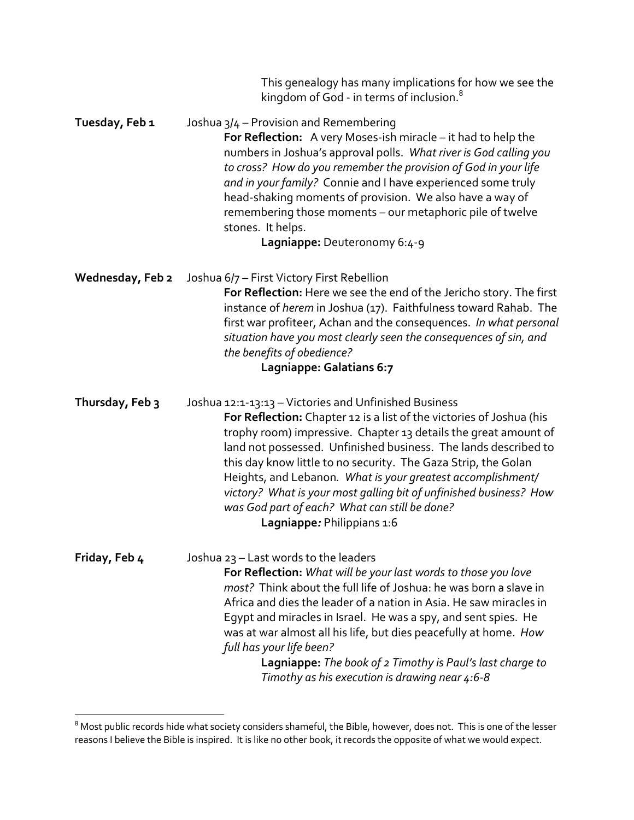|                  | This genealogy has many implications for how we see the<br>kingdom of God - in terms of inclusion. <sup>8</sup>                                                                                                                                                                                                                                                                                                                                                                                                                                           |
|------------------|-----------------------------------------------------------------------------------------------------------------------------------------------------------------------------------------------------------------------------------------------------------------------------------------------------------------------------------------------------------------------------------------------------------------------------------------------------------------------------------------------------------------------------------------------------------|
| Tuesday, Feb 1   | Joshua 3/4 – Provision and Remembering<br>For Reflection: A very Moses-ish miracle - it had to help the<br>numbers in Joshua's approval polls. What river is God calling you<br>to cross? How do you remember the provision of God in your life<br>and in your family? Connie and I have experienced some truly<br>head-shaking moments of provision. We also have a way of<br>remembering those moments - our metaphoric pile of twelve<br>stones. It helps.<br>Lagniappe: Deuteronomy 6:4-9                                                             |
| Wednesday, Feb 2 | Joshua 6/7 - First Victory First Rebellion<br>For Reflection: Here we see the end of the Jericho story. The first<br>instance of herem in Joshua (17). Faithfulness toward Rahab. The<br>first war profiteer, Achan and the consequences. In what personal<br>situation have you most clearly seen the consequences of sin, and<br>the benefits of obedience?<br>Lagniappe: Galatians 6:7                                                                                                                                                                 |
| Thursday, Feb 3  | Joshua 12:1-13:13 - Victories and Unfinished Business<br>For Reflection: Chapter 12 is a list of the victories of Joshua (his<br>trophy room) impressive. Chapter 13 details the great amount of<br>land not possessed. Unfinished business. The lands described to<br>this day know little to no security. The Gaza Strip, the Golan<br>Heights, and Lebanon. What is your greatest accomplishment/<br>victory? What is your most galling bit of unfinished business? How<br>was God part of each? What can still be done?<br>Lagniappe: Philippians 1:6 |
| Friday, Feb 4    | Joshua 23 – Last words to the leaders<br>For Reflection: What will be your last words to those you love<br>most? Think about the full life of Joshua: he was born a slave in<br>Africa and dies the leader of a nation in Asia. He saw miracles in<br>Egypt and miracles in Israel. He was a spy, and sent spies. He<br>was at war almost all his life, but dies peacefully at home. How<br>full has your life been?<br>Lagniappe: The book of 2 Timothy is Paul's last charge to<br>Timothy as his execution is drawing near 4:6-8                       |

 $^8$  Most public records hide what society considers shameful, the Bible, however, does not. This is one of the lesser reasons I believe the Bible is inspired. It is like no other book, it records the opposite of what we would expect.